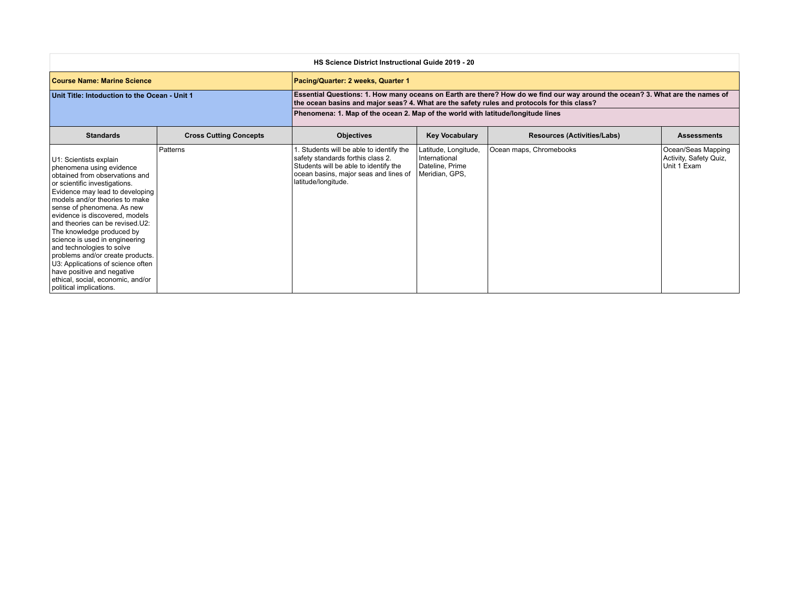|                                                                                                                                                                                                                                                                                                                                                                                                                                                                                                                                                                   | HS Science District Instructional Guide 2019 - 20 |                                                                                                                                                                                                                              |                                                                            |                                    |                                                             |  |
|-------------------------------------------------------------------------------------------------------------------------------------------------------------------------------------------------------------------------------------------------------------------------------------------------------------------------------------------------------------------------------------------------------------------------------------------------------------------------------------------------------------------------------------------------------------------|---------------------------------------------------|------------------------------------------------------------------------------------------------------------------------------------------------------------------------------------------------------------------------------|----------------------------------------------------------------------------|------------------------------------|-------------------------------------------------------------|--|
| <b>Course Name: Marine Science</b>                                                                                                                                                                                                                                                                                                                                                                                                                                                                                                                                |                                                   | Pacing/Quarter: 2 weeks, Quarter 1                                                                                                                                                                                           |                                                                            |                                    |                                                             |  |
| Unit Title: Intoduction to the Ocean - Unit 1                                                                                                                                                                                                                                                                                                                                                                                                                                                                                                                     |                                                   | Essential Questions: 1. How many oceans on Earth are there? How do we find our way around the ocean? 3. What are the names of<br>the ocean basins and major seas? 4. What are the safety rules and protocols for this class? |                                                                            |                                    |                                                             |  |
|                                                                                                                                                                                                                                                                                                                                                                                                                                                                                                                                                                   |                                                   | Phenomena: 1. Map of the ocean 2. Map of the world with latitude/longitude lines                                                                                                                                             |                                                                            |                                    |                                                             |  |
| <b>Standards</b>                                                                                                                                                                                                                                                                                                                                                                                                                                                                                                                                                  | <b>Cross Cutting Concepts</b>                     | <b>Objectives</b>                                                                                                                                                                                                            | <b>Key Vocabulary</b>                                                      | <b>Resources (Activities/Labs)</b> | <b>Assessments</b>                                          |  |
| U1: Scientists explain<br>phenomena using evidence<br>obtained from observations and<br>or scientific investigations.<br>Evidence may lead to developing<br>models and/or theories to make<br>sense of phenomena. As new<br>evidence is discovered, models<br>and theories can be revised. U2:<br>The knowledge produced by<br>science is used in engineering<br>and technologies to solve<br>problems and/or create products.<br>U3: Applications of science often<br>have positive and negative<br>ethical, social, economic, and/or<br>political implications. | Patterns                                          | . Students will be able to identify the<br>safety standards forthis class 2.<br>Students will be able to identify the<br>ocean basins, major seas and lines of<br>latitude/longitude.                                        | Latitude, Longitude,<br>International<br>Dateline, Prime<br>Meridian, GPS, | Ocean maps, Chromebooks            | Ocean/Seas Mapping<br>Activity, Safety Quiz,<br>Unit 1 Exam |  |